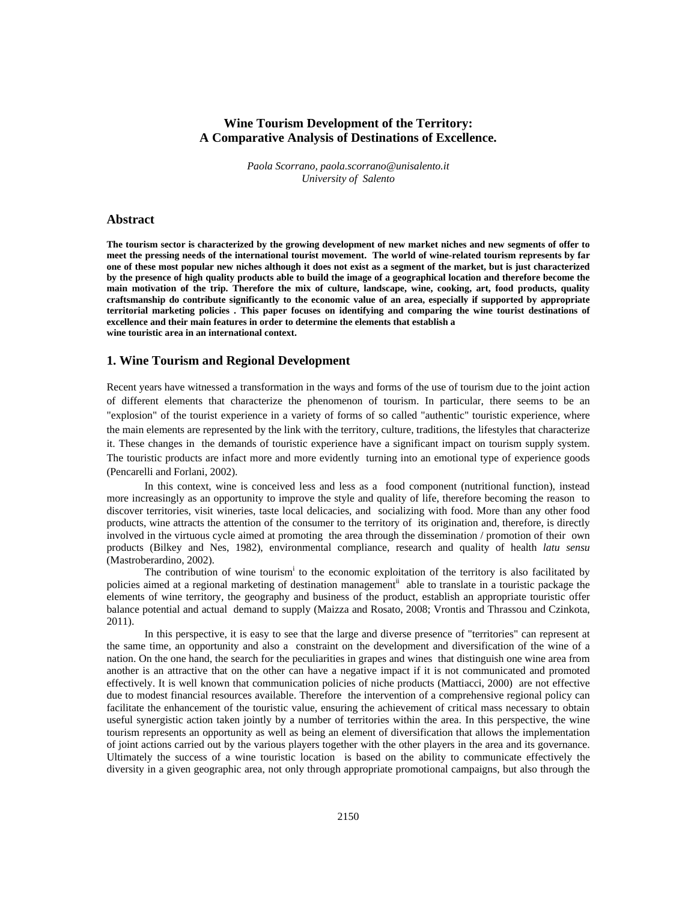# **Wine Tourism Development of the Territory: A Comparative Analysis of Destinations of Excellence.**

*Paola Scorrano, paola.scorrano@unisalento.it University of Salento* 

## **Abstract**

**The tourism sector is characterized by the growing development of new market niches and new segments of offer to meet the pressing needs of the international tourist movement. The world of wine-related tourism represents by far one of these most popular new niches although it does not exist as a segment of the market, but is just characterized by the presence of high quality products able to build the image of a geographical location and therefore become the main motivation of the trip. Therefore the mix of culture, landscape, wine, cooking, art, food products, quality craftsmanship do contribute significantly to the economic value of an area, especially if supported by appropriate territorial marketing policies . This paper focuses on identifying and comparing the wine tourist destinations of excellence and their main features in order to determine the elements that establish a wine touristic area in an international context.**

### **1. Wine Tourism and Regional Development**

Recent years have witnessed a transformation in the ways and forms of the use of tourism due to the joint action of different elements that characterize the phenomenon of tourism. In particular, there seems to be an "explosion" of the tourist experience in a variety of forms of so called "authentic" touristic experience, where the main elements are represented by the link with the territory, culture, traditions, the lifestyles that characterize it. These changes in the demands of touristic experience have a significant impact on tourism supply system. The touristic products are infact more and more evidently turning into an emotional type of experience goods (Pencarelli and Forlani, 2002).

In this context, wine is conceived less and less as a food component (nutritional function), instead more increasingly as an opportunity to improve the style and quality of life, therefore becoming the reason to discover territories, visit wineries, taste local delicacies, and socializing with food. More than any other food products, wine attracts the attention of the consumer to the territory of its origination and, therefore, is directly involved in the virtuous cycle aimed at promoting the area through the dissemination / promotion of their own products (Bilkey and Nes, 1982), environmental compliance, research and quality of health *latu sensu* (Mastroberardino, 2002).

The contribution of wine tourism<sup>i</sup> to the economic exploitation of the territory is also facilitated by policies aimed at a regional marketing of destination management<sup>ii</sup> able to translate in a touristic package the elements of wine territory, the geography and business of the product, establish an appropriate touristic offer balance potential and actual demand to supply (Maizza and Rosato, 2008; Vrontis and Thrassou and Czinkota, 2011).

In this perspective, it is easy to see that the large and diverse presence of "territories" can represent at the same time, an opportunity and also a constraint on the development and diversification of the wine of a nation. On the one hand, the search for the peculiarities in grapes and wines that distinguish one wine area from another is an attractive that on the other can have a negative impact if it is not communicated and promoted effectively. It is well known that communication policies of niche products (Mattiacci, 2000) are not effective due to modest financial resources available. Therefore the intervention of a comprehensive regional policy can facilitate the enhancement of the touristic value, ensuring the achievement of critical mass necessary to obtain useful synergistic action taken jointly by a number of territories within the area. In this perspective, the wine tourism represents an opportunity as well as being an element of diversification that allows the implementation of joint actions carried out by the various players together with the other players in the area and its governance. Ultimately the success of a wine touristic location is based on the ability to communicate effectively the diversity in a given geographic area, not only through appropriate promotional campaigns, but also through the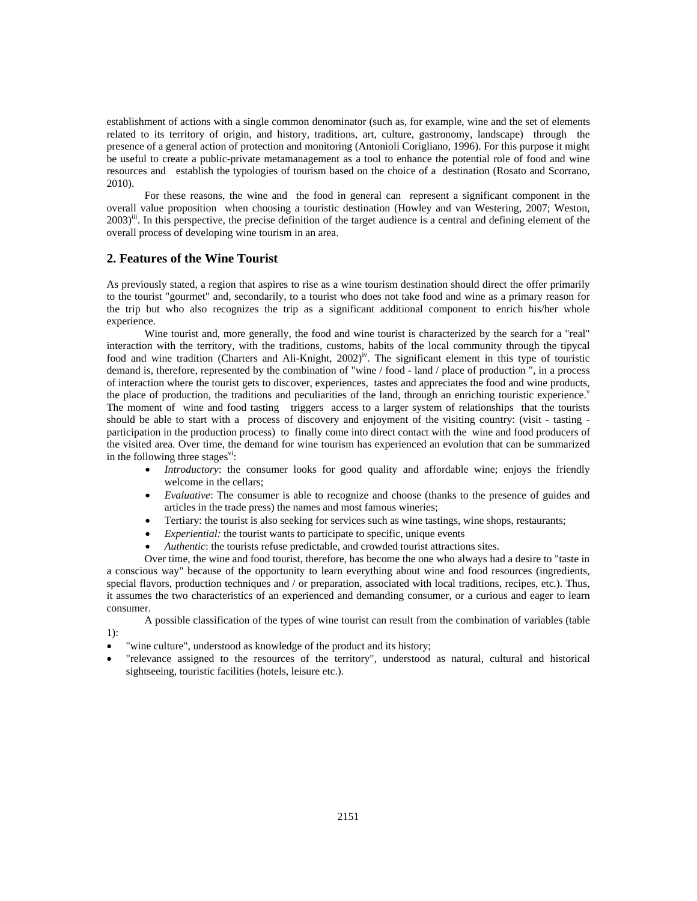establishment of actions with a single common denominator (such as, for example, wine and the set of elements related to its territory of origin, and history, traditions, art, culture, gastronomy, landscape) through the presence of a general action of protection and monitoring (Antonioli Corigliano, 1996). For this purpose it might be useful to create a public-private metamanagement as a tool to enhance the potential role of food and wine resources and establish the typologies of tourism based on the choice of a destination (Rosato and Scorrano, 2010).

For these reasons, the wine and the food in general can represent a significant component in the overall value proposition when choosing a touristic destination (Howley and van Westering, 2007; Weston,  $2003$ <sup>iii</sup>. In this perspective, the precise definition of the target audience is a central and defining element of the overall process of developing wine tourism in an area.

### **2. Features of the Wine Tourist**

1):

As previously stated, a region that aspires to rise as a wine tourism destination should direct the offer primarily to the tourist "gourmet" and, secondarily, to a tourist who does not take food and wine as a primary reason for the trip but who also recognizes the trip as a significant additional component to enrich his/her whole experience.

Wine tourist and, more generally, the food and wine tourist is characterized by the search for a "real" interaction with the territory, with the traditions, customs, habits of the local community through the tipycal food and wine tradition (Charters and Ali-Knight,  $2002$ <sup>iv</sup>. The significant element in this type of touristic demand is, therefore, represented by the combination of "wine / food - land / place of production ", in a process of interaction where the tourist gets to discover, experiences, tastes and appreciates the food and wine products, the place of production, the traditions and peculiarities of the land, through an enriching touristic experience. The moment of wine and food tasting triggers access to a larger system of relationships that the tourists should be able to start with a process of discovery and enjoyment of the visiting country: (visit - tasting participation in the production process) to finally come into direct contact with the wine and food producers of the visited area. Over time, the demand for wine tourism has experienced an evolution that can be summarized in the following three stages $\overline{v}$ :

- *Introductory*: the consumer looks for good quality and affordable wine; enjoys the friendly welcome in the cellars;
- *Evaluative*: The consumer is able to recognize and choose (thanks to the presence of guides and articles in the trade press) the names and most famous wineries;
- Tertiary: the tourist is also seeking for services such as wine tastings, wine shops, restaurants;
- *Experiential:* the tourist wants to participate to specific, unique events
- *Authentic*: the tourists refuse predictable, and crowded tourist attractions sites.

Over time, the wine and food tourist, therefore, has become the one who always had a desire to "taste in a conscious way" because of the opportunity to learn everything about wine and food resources (ingredients, special flavors, production techniques and / or preparation, associated with local traditions, recipes, etc.). Thus, it assumes the two characteristics of an experienced and demanding consumer, or a curious and eager to learn consumer.

A possible classification of the types of wine tourist can result from the combination of variables (table

- "wine culture", understood as knowledge of the product and its history;
- "relevance assigned to the resources of the territory", understood as natural, cultural and historical sightseeing, touristic facilities (hotels, leisure etc.).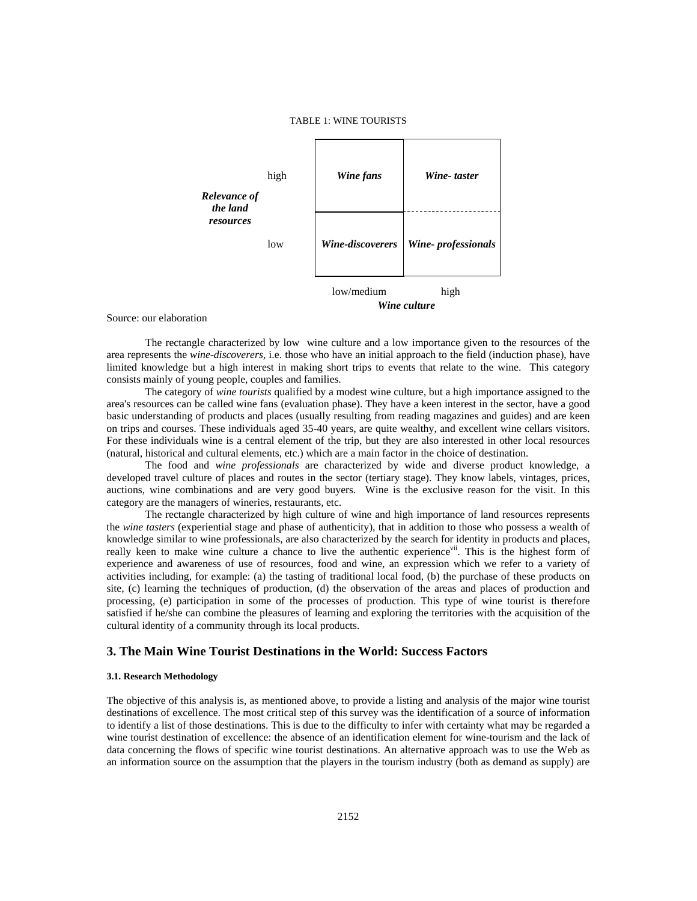

Source: our elaboration

The rectangle characterized by low wine culture and a low importance given to the resources of the area represents the *wine-discoverers,* i.e. those who have an initial approach to the field (induction phase), have limited knowledge but a high interest in making short trips to events that relate to the wine. This category consists mainly of young people, couples and families.

The category of *wine tourists* qualified by a modest wine culture, but a high importance assigned to the area's resources can be called wine fans (evaluation phase). They have a keen interest in the sector, have a good basic understanding of products and places (usually resulting from reading magazines and guides) and are keen on trips and courses. These individuals aged 35-40 years, are quite wealthy, and excellent wine cellars visitors. For these individuals wine is a central element of the trip, but they are also interested in other local resources (natural, historical and cultural elements, etc.) which are a main factor in the choice of destination.

The food and *wine professionals* are characterized by wide and diverse product knowledge, a developed travel culture of places and routes in the sector (tertiary stage). They know labels, vintages, prices, auctions, wine combinations and are very good buyers. Wine is the exclusive reason for the visit. In this category are the managers of wineries, restaurants, etc.

The rectangle characterized by high culture of wine and high importance of land resources represents the *wine tasters* (experiential stage and phase of authenticity), that in addition to those who possess a wealth of knowledge similar to wine professionals, are also characterized by the search for identity in products and places, really keen to make wine culture a chance to live the authentic experience<sup>vii</sup>. This is the highest form of experience and awareness of use of resources, food and wine, an expression which we refer to a variety of activities including, for example: (a) the tasting of traditional local food, (b) the purchase of these products on site, (c) learning the techniques of production, (d) the observation of the areas and places of production and processing, (e) participation in some of the processes of production. This type of wine tourist is therefore satisfied if he/she can combine the pleasures of learning and exploring the territories with the acquisition of the cultural identity of a community through its local products.

## **3. The Main Wine Tourist Destinations in the World: Success Factors**

#### **3.1. Research Methodology**

The objective of this analysis is, as mentioned above, to provide a listing and analysis of the major wine tourist destinations of excellence. The most critical step of this survey was the identification of a source of information to identify a list of those destinations. This is due to the difficulty to infer with certainty what may be regarded a wine tourist destination of excellence: the absence of an identification element for wine-tourism and the lack of data concerning the flows of specific wine tourist destinations. An alternative approach was to use the Web as an information source on the assumption that the players in the tourism industry (both as demand as supply) are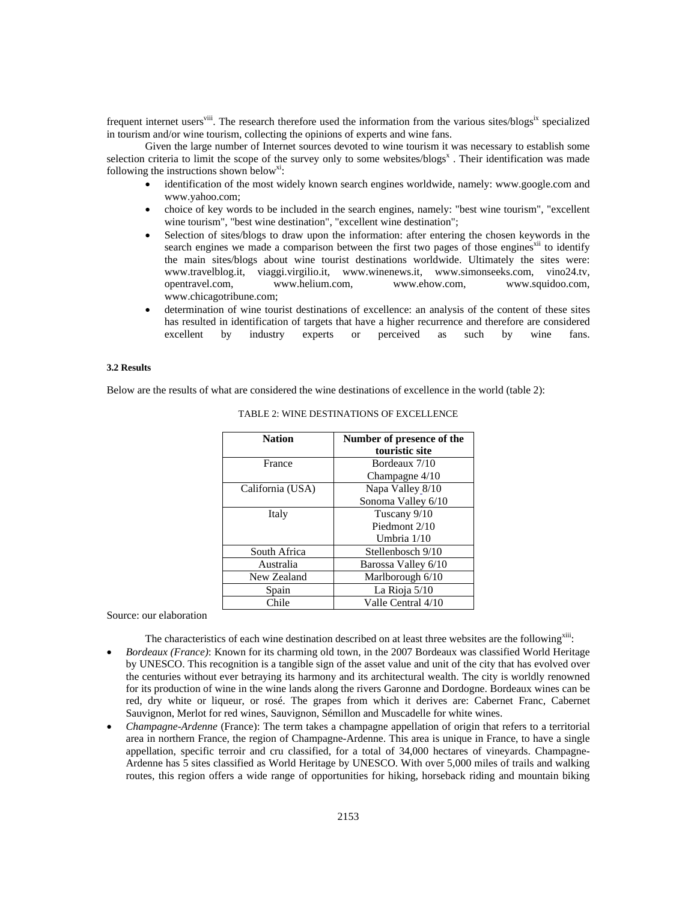frequent internet users<sup>viii</sup>. The research therefore used the information from the various sites/blogs<sup>ix</sup> specialized in tourism and/or wine tourism, collecting the opinions of experts and wine fans.

Given the large number of Internet sources devoted to wine tourism it was necessary to establish some selection criteria to limit the scope of the survey only to some websites/blogs<sup>x</sup>. Their identification was made following the instructions shown below<sup>xi</sup>:

- identification of the most widely known search engines worldwide, namely: www.google.com and www.yahoo.com;
- choice of key words to be included in the search engines, namely: "best wine tourism", "excellent wine tourism", "best wine destination", "excellent wine destination";
- Selection of sites/blogs to draw upon the information: after entering the chosen keywords in the search engines we made a comparison between the first two pages of those engines<sup>xii</sup> to identify the main sites/blogs about wine tourist destinations worldwide. Ultimately the sites were: www.travelblog.it, viaggi.virgilio.it, www.winenews.it, www.simonseeks.com, vino24.tv, opentravel.com, www.helium.com, www.ehow.com, www.squidoo.com, opentravel.com, www.helium.com, www.ehow.com, www.squidoo.com, www.chicagotribune.com;
- determination of wine tourist destinations of excellence: an analysis of the content of these sites has resulted in identification of targets that have a higher recurrence and therefore are considered excellent by industry experts or perceived as such by wine fans.

### **3.2 Results**

Below are the results of what are considered the wine destinations of excellence in the world (table 2):

| Number of presence of the<br>touristic site |
|---------------------------------------------|
|                                             |
| Bordeaux 7/10                               |
| Champagne $4/10$                            |
| Napa Valley 8/10                            |
| Sonoma Valley 6/10                          |
| Tuscany 9/10                                |
| Piedmont 2/10                               |
| Umbria 1/10                                 |
| Stellenbosch 9/10                           |
| Barossa Valley 6/10                         |
| Marlborough 6/10                            |
| La Rioja 5/10                               |
| Valle Central 4/10                          |
|                                             |

TABLE 2: WINE DESTINATIONS OF EXCELLENCE

Source: our elaboration

The characteristics of each wine destination described on at least three websites are the following<sup>xiii</sup>:

- *Bordeaux (France)*: Known for its charming old town, in the 2007 Bordeaux was classified World Heritage by UNESCO. This recognition is a tangible sign of the asset value and unit of the city that has evolved over the centuries without ever betraying its harmony and its architectural wealth. The city is worldly renowned for its production of wine in the wine lands along the rivers Garonne and Dordogne. Bordeaux wines can be red, dry white or liqueur, or rosé. The grapes from which it derives are: Cabernet Franc, Cabernet Sauvignon, Merlot for red wines, Sauvignon, Sémillon and Muscadelle for white wines.
- *Champagne-Ardenne* (France): The term takes a champagne appellation of origin that refers to a territorial area in northern France, the region of Champagne-Ardenne. This area is unique in France, to have a single appellation, specific terroir and cru classified, for a total of 34,000 hectares of vineyards. Champagne-Ardenne has 5 sites classified as World Heritage by UNESCO. With over 5,000 miles of trails and walking routes, this region offers a wide range of opportunities for hiking, horseback riding and mountain biking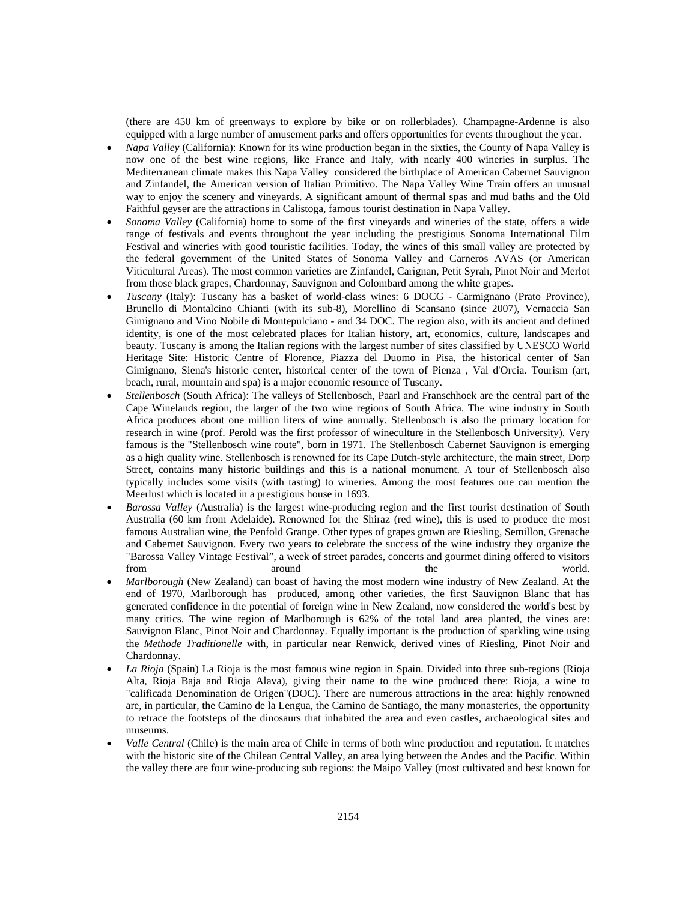(there are 450 km of greenways to explore by bike or on rollerblades). Champagne-Ardenne is also equipped with a large number of amusement parks and offers opportunities for events throughout the year.

- *Napa Valley* (California): Known for its wine production began in the sixties, the County of Napa Valley is now one of the best wine regions, like France and Italy, with nearly 400 wineries in surplus. The Mediterranean climate makes this Napa Valley considered the birthplace of American Cabernet Sauvignon and Zinfandel, the American version of Italian Primitivo. The Napa Valley Wine Train offers an unusual way to enjoy the scenery and vineyards. A significant amount of thermal spas and mud baths and the Old Faithful geyser are the attractions in Calistoga, famous tourist destination in Napa Valley.
- *Sonoma Valley* (California) home to some of the first vineyards and wineries of the state, offers a wide range of festivals and events throughout the year including the prestigious Sonoma International Film Festival and wineries with good touristic facilities. Today, the wines of this small valley are protected by the federal government of the United States of Sonoma Valley and Carneros AVAS (or American Viticultural Areas). The most common varieties are Zinfandel, Carignan, Petit Syrah, Pinot Noir and Merlot from those black grapes, Chardonnay, Sauvignon and Colombard among the white grapes.
- *Tuscany* (Italy): Tuscany has a basket of world-class wines: 6 DOCG Carmignano (Prato Province), Brunello di Montalcino Chianti (with its sub-8), Morellino di Scansano (since 2007), Vernaccia San Gimignano and Vino Nobile di Montepulciano - and 34 DOC. The region also, with its ancient and defined identity, is one of the most celebrated places for Italian history, art, economics, culture, landscapes and beauty. Tuscany is among the Italian regions with the largest number of sites classified by UNESCO World Heritage Site: Historic Centre of Florence, Piazza del Duomo in Pisa, the historical center of San Gimignano, Siena's historic center, historical center of the town of Pienza , Val d'Orcia. Tourism (art, beach, rural, mountain and spa) is a major economic resource of Tuscany.
- *Stellenbosch* (South Africa): The valleys of Stellenbosch, Paarl and Franschhoek are the central part of the Cape Winelands region, the larger of the two wine regions of South Africa. The wine industry in South Africa produces about one million liters of wine annually. Stellenbosch is also the primary location for research in wine (prof. Perold was the first professor of wineculture in the Stellenbosch University). Very famous is the "Stellenbosch wine route", born in 1971. The Stellenbosch Cabernet Sauvignon is emerging as a high quality wine. Stellenbosch is renowned for its Cape Dutch-style architecture, the main street, Dorp Street, contains many historic buildings and this is a national monument. A tour of Stellenbosch also typically includes some visits (with tasting) to wineries. Among the most features one can mention the Meerlust which is located in a prestigious house in 1693.
- *Barossa Valley* (Australia) is the largest wine-producing region and the first tourist destination of South Australia (60 km from Adelaide). Renowned for the Shiraz (red wine), this is used to produce the most famous Australian wine, the Penfold Grange. Other types of grapes grown are Riesling, Semillon, Grenache and Cabernet Sauvignon. Every two years to celebrate the success of the wine industry they organize the "Barossa Valley Vintage Festival", a week of street parades, concerts and gourmet dining offered to visitors from around the world.
- *Marlborough* (New Zealand) can boast of having the most modern wine industry of New Zealand. At the end of 1970, Marlborough has produced, among other varieties, the first Sauvignon Blanc that has generated confidence in the potential of foreign wine in New Zealand, now considered the world's best by many critics. The wine region of Marlborough is 62% of the total land area planted, the vines are: Sauvignon Blanc, Pinot Noir and Chardonnay. Equally important is the production of sparkling wine using the *Methode Traditionelle* with, in particular near Renwick, derived vines of Riesling, Pinot Noir and Chardonnay.
- *La Rioja* (Spain) La Rioja is the most famous wine region in Spain. Divided into three sub-regions (Rioja Alta, Rioja Baja and Rioja Alava), giving their name to the wine produced there: Rioja, a wine to "calificada Denomination de Origen"(DOC). There are numerous attractions in the area: highly renowned are, in particular, the Camino de la Lengua, the Camino de Santiago, the many monasteries, the opportunity to retrace the footsteps of the dinosaurs that inhabited the area and even castles, archaeological sites and museums.
- *Valle Central* (Chile) is the main area of Chile in terms of both wine production and reputation. It matches with the historic site of the Chilean Central Valley, an area lying between the Andes and the Pacific. Within the valley there are four wine-producing sub regions: the Maipo Valley (most cultivated and best known for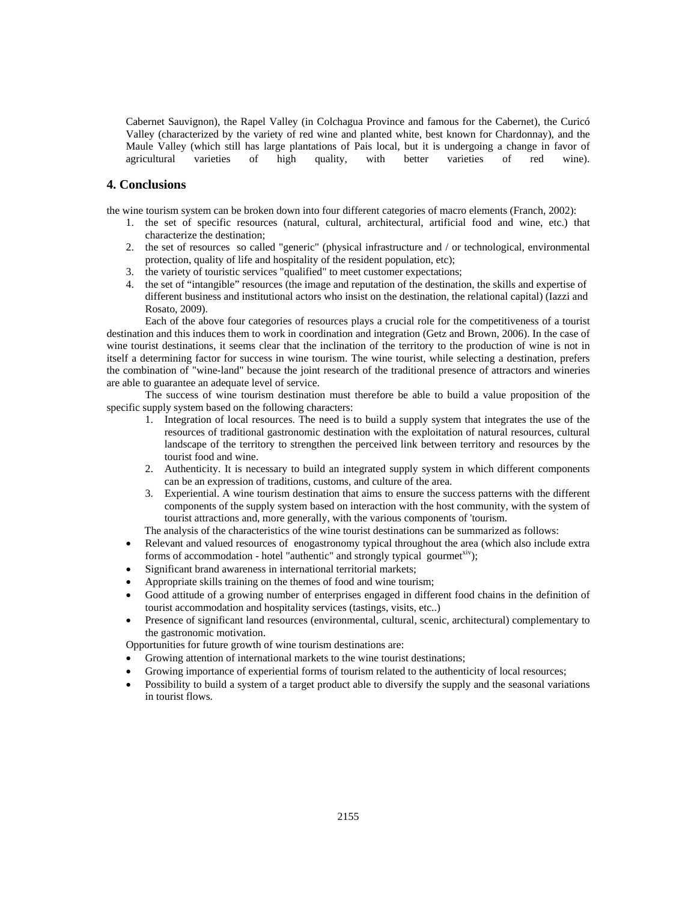Cabernet Sauvignon), the Rapel Valley (in Colchagua Province and famous for the Cabernet), the Curicó Valley (characterized by the variety of red wine and planted white, best known for Chardonnay), and the Maule Valley (which still has large plantations of Pais local, but it is undergoing a change in favor of agricultural varieties of high quality, with better varieties of red wine).

## **4. Conclusions**

the wine tourism system can be broken down into four different categories of macro elements (Franch, 2002):

- 1. the set of specific resources (natural, cultural, architectural, artificial food and wine, etc.) that characterize the destination;
- 2. the set of resources so called "generic" (physical infrastructure and / or technological, environmental protection, quality of life and hospitality of the resident population, etc);
- 3. the variety of touristic services "qualified" to meet customer expectations;
- 4. the set of "intangible" resources (the image and reputation of the destination, the skills and expertise of different business and institutional actors who insist on the destination, the relational capital) (Iazzi and Rosato, 2009).

Each of the above four categories of resources plays a crucial role for the competitiveness of a tourist destination and this induces them to work in coordination and integration (Getz and Brown, 2006). In the case of wine tourist destinations, it seems clear that the inclination of the territory to the production of wine is not in itself a determining factor for success in wine tourism. The wine tourist, while selecting a destination, prefers the combination of "wine-land" because the joint research of the traditional presence of attractors and wineries are able to guarantee an adequate level of service.

The success of wine tourism destination must therefore be able to build a value proposition of the specific supply system based on the following characters:

- 1. Integration of local resources. The need is to build a supply system that integrates the use of the resources of traditional gastronomic destination with the exploitation of natural resources, cultural landscape of the territory to strengthen the perceived link between territory and resources by the tourist food and wine.
- 2. Authenticity. It is necessary to build an integrated supply system in which different components can be an expression of traditions, customs, and culture of the area.
- 3. Experiential. A wine tourism destination that aims to ensure the success patterns with the different components of the supply system based on interaction with the host community, with the system of tourist attractions and, more generally, with the various components of 'tourism.

The analysis of the characteristics of the wine tourist destinations can be summarized as follows:

- Relevant and valued resources of enogastronomy typical throughout the area (which also include extra forms of accommodation - hotel "authentic" and strongly typical gourmet<sup>xiv</sup>);
- Significant brand awareness in international territorial markets;
- Appropriate skills training on the themes of food and wine tourism;
- Good attitude of a growing number of enterprises engaged in different food chains in the definition of tourist accommodation and hospitality services (tastings, visits, etc..)
- Presence of significant land resources (environmental, cultural, scenic, architectural) complementary to the gastronomic motivation.

Opportunities for future growth of wine tourism destinations are:

- Growing attention of international markets to the wine tourist destinations;
- Growing importance of experiential forms of tourism related to the authenticity of local resources;
- Possibility to build a system of a target product able to diversify the supply and the seasonal variations in tourist flows.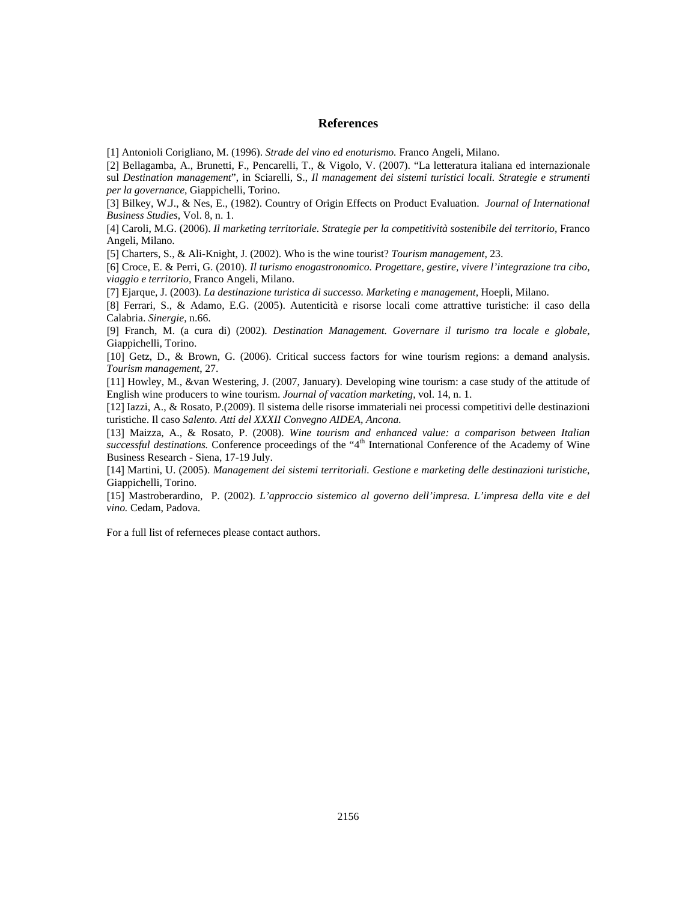### **References**

[1] Antonioli Corigliano, M. (1996). *Strade del vino ed enoturismo.* Franco Angeli, Milano.

[2] Bellagamba, A., Brunetti, F., Pencarelli, T., & Vigolo, V. (2007). "La letteratura italiana ed internazionale sul *Destination management*", in Sciarelli, S., *Il management dei sistemi turistici locali. Strategie e strumenti per la governance*, Giappichelli, Torino.

[3] Bilkey, W.J., & Nes, E., (1982). Country of Origin Effects on Product Evaluation. *Journal of International Business Studies*, Vol. 8, n. 1.

[4] Caroli, M.G. (2006). *Il marketing territoriale. Strategie per la competitività sostenibile del territorio*, Franco Angeli, Milano.

[5] Charters, S., & Ali-Knight, J. (2002). Who is the wine tourist? *Tourism management*, 23.

[6] Croce, E. & Perri, G. (2010). *Il turismo enogastronomico. Progettare, gestire, vivere l'integrazione tra cibo, viaggio e territorio,* Franco Angeli, Milano.

[7] Ejarque, J. (2003). *La destinazione turistica di successo. Marketing e management*, Hoepli, Milano.

[8] Ferrari, S., & Adamo, E.G. (2005). Autenticità e risorse locali come attrattive turistiche: il caso della Calabria. *Sinergie,* n.66.

[9] Franch, M. (a cura di) (2002). *Destination Management. Governare il turismo tra locale e globale*, Giappichelli, Torino.

[10] Getz, D., & Brown, G. (2006). Critical success factors for wine tourism regions: a demand analysis. *Tourism management*, 27.

[11] Howley, M., &van Westering, J. (2007, January). Developing wine tourism: a case study of the attitude of English wine producers to wine tourism. *Journal of vacation marketing*, vol. 14, n. 1.

[12] Iazzi, A., & Rosato, P.(2009). Il sistema delle risorse immateriali nei processi competitivi delle destinazioni turistiche. Il caso *Salento. Atti del XXXII Convegno AIDEA, Ancona.*

[13] Maizza, A., & Rosato, P. (2008). *Wine tourism and enhanced value: a comparison between Italian*  successful destinations. Conference proceedings of the "4<sup>th</sup> International Conference of the Academy of Wine Business Research - Siena, 17-19 July.

[14] Martini, U. (2005). *Management dei sistemi territoriali. Gestione e marketing delle destinazioni turistiche*, Giappichelli, Torino.

[15] Mastroberardino, P. (2002). *L'approccio sistemico al governo dell'impresa. L'impresa della vite e del vino.* Cedam, Padova.

For a full list of referneces please contact authors.